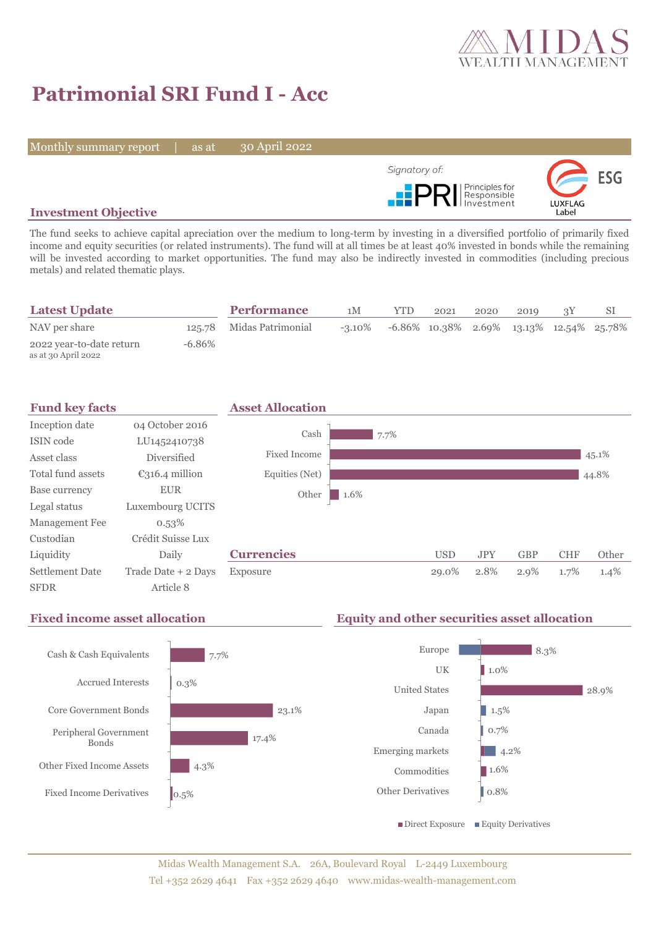

# **Patrimonial SRI Fund I - Acc**

Monthly summary report | as at

30 April 2022



## **Investment Objective**

The fund seeks to achieve capital apreciation over the medium to long-term by investing in a diversified portfolio of primarily fixed income and equity securities (or related instruments). The fund will at all times be at least 40% invested in bonds while the remaining will be invested according to market opportunities. The fund may also be indirectly invested in commodities (including precious metals) and related thematic plays.

| <b>Latest Update</b>                            |        | <b>Performance</b>       | 1M | YTD.                                                                 | 2021 | 2020 | 2019 |  |
|-------------------------------------------------|--------|--------------------------|----|----------------------------------------------------------------------|------|------|------|--|
| NAV per share                                   |        | 125.78 Midas Patrimonial |    | $-3.10\%$ $-6.86\%$ $10.38\%$ $2.69\%$ $13.13\%$ $12.54\%$ $25.78\%$ |      |      |      |  |
| 2022 year-to-date return<br>as at 30 April 2022 | -6.86% |                          |    |                                                                      |      |      |      |  |



## **Fixed income asset allocation Equity and other securities asset allocation**



8.3%

28.9%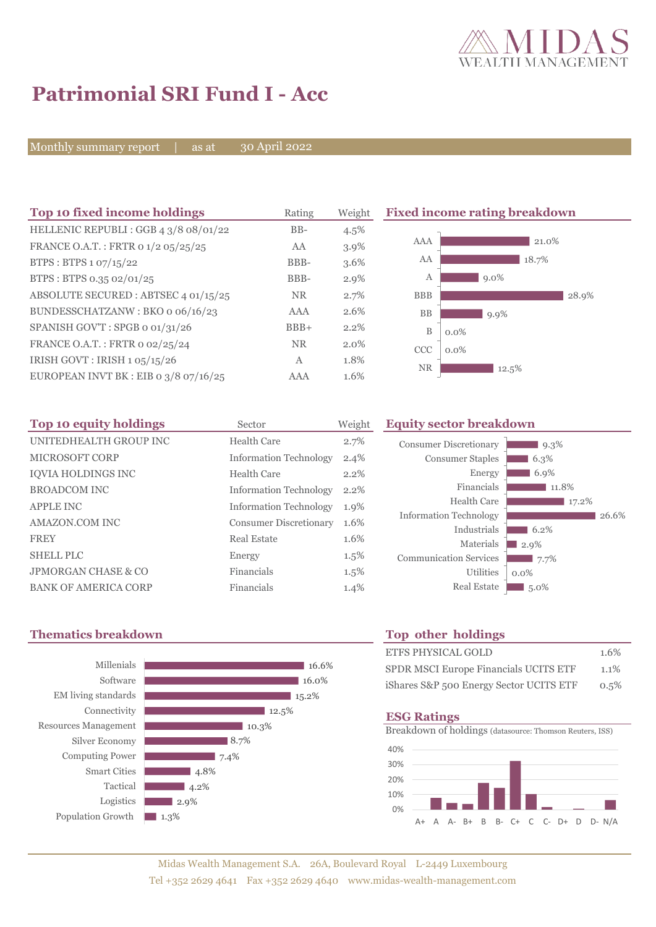

# **Patrimonial SRI Fund I - Acc**

Monthly summary report | as at

30 April 2022

| Top 10 fixed income holdings            | Rating       | Weight  |            | <b>Fixed income rating breakdown</b> |
|-----------------------------------------|--------------|---------|------------|--------------------------------------|
| HELLENIC REPUBLI: GGB 4 3/8 08/01/22    | $BB-$        | 4.5%    |            |                                      |
| FRANCE O.A.T.: FRTR 0 1/2 05/25/25      | AA           | $3.9\%$ | <b>AAA</b> | 21.0%                                |
| BTPS : BTPS $1.07/15/22$                | BBB-         | 3.6%    | AA         | 18.7%                                |
| BTPS: BTPS 0.35 02/01/25                | BBB-         | $2.9\%$ | A          | $9.0\%$                              |
| ABSOLUTE SECURED: ABTSEC 4 01/15/25     | <b>NR</b>    | 2.7%    | <b>BBB</b> | 28.9%                                |
| BUNDESSCHATZANW: BKO o 06/16/23         | <b>AAA</b>   | 2.6%    | <b>BB</b>  | 9.9%                                 |
| SPANISH GOV'T: SPGB o 01/31/26          | $BBB+$       | 2.2%    | B          | $0.0\%$                              |
| FRANCE O.A.T.: FRTR 0 02/25/24          | <b>NR</b>    | $2.0\%$ | <b>CCC</b> | $0.0\%$                              |
| IRISH GOVT : IRISH 1 05/15/26           | $\mathbf{A}$ | 1.8%    | <b>NR</b>  |                                      |
| EUROPEAN INVT BK : EIB o $3/8$ o7/16/25 | <b>AAA</b>   | 1.6%    |            | 12.5%                                |

| Top 10 equity holdings         | Sector                        | Weight  | Eq |
|--------------------------------|-------------------------------|---------|----|
| UNITEDHEALTH GROUP INC         | Health Care                   | 2.7%    |    |
| <b>MICROSOFT CORP</b>          | <b>Information Technology</b> | $2.4\%$ |    |
| <b>IOVIA HOLDINGS INC</b>      | Health Care                   | $2.2\%$ |    |
| <b>BROADCOM INC</b>            | <b>Information Technology</b> | $2.2\%$ |    |
| <b>APPLE INC</b>               | <b>Information Technology</b> | 1.9%    |    |
| AMAZON.COM INC                 | <b>Consumer Discretionary</b> | 1.6%    | I  |
| <b>FREY</b>                    | Real Estate                   | 1.6%    |    |
| <b>SHELL PLC</b>               | Energy                        | $1.5\%$ | C  |
| <b>JPMORGAN CHASE &amp; CO</b> | Financials                    | $1.5\%$ |    |
| <b>BANK OF AMERICA CORP</b>    | Financials                    | 1.4%    |    |

### **Top 10 equity holdings** Sector Weight **Equity sector breakdown**

| <b>Consumer Discretionary</b> | 9.3%    |
|-------------------------------|---------|
| <b>Consumer Staples</b>       | 6.3%    |
| Energy                        | 6.9%    |
| Financials                    | 11.8%   |
| <b>Health Care</b>            | 17.2%   |
| <b>Information Technology</b> | 26.6%   |
| Industrials                   | 6.2%    |
| Materials                     | 2.9%    |
| <b>Communication Services</b> | 7.7%    |
| <b>Utilities</b>              | $0.0\%$ |
| <b>Real Estate</b>            | $5.0\%$ |
|                               |         |

## **Thematics breakdown Top other holdings**



| <b>ETFS PHYSICAL GOLD</b>               | 1.6% |
|-----------------------------------------|------|
| SPDR MSCI Europe Financials UCITS ETF   | 1.1% |
| iShares S&P 500 Energy Sector UCITS ETF | 0.5% |

### **ESG Ratings**

Breakdown of holdings (datasource: Thomson Reuters, ISS)